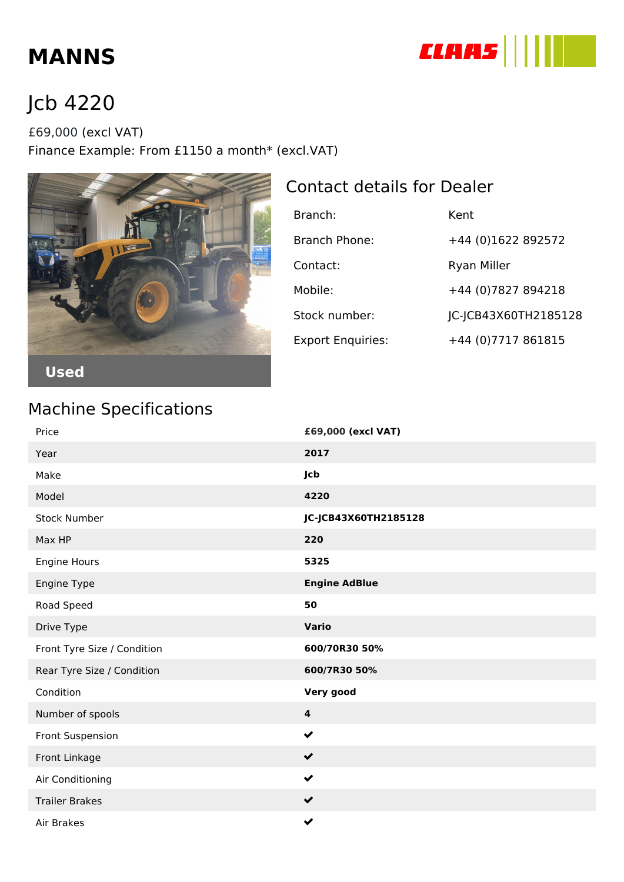

# **MANNS**

# Jcb 4220

£69,000 (excl VAT) Finance Example: From £1150 a month\* (excl.VAT)



### Contact details for Dealer

| Branch:                  | Kent                 |
|--------------------------|----------------------|
| Branch Phone:            | +44 (0)1622 892572   |
| Contact:                 | <b>Ryan Miller</b>   |
| Mobile:                  | +44 (0) 7827 894218  |
| Stock number:            | JC-JCB43X60TH2185128 |
| <b>Export Enquiries:</b> | +44 (0) 7717 861815  |

#### Machine Specifications

| Price                       | £69,000 (excl VAT)      |
|-----------------------------|-------------------------|
| Year                        | 2017                    |
| Make                        | Jcb                     |
| Model                       | 4220                    |
| <b>Stock Number</b>         | JC-JCB43X60TH2185128    |
| Max HP                      | 220                     |
| Engine Hours                | 5325                    |
| Engine Type                 | <b>Engine AdBlue</b>    |
| Road Speed                  | 50                      |
| Drive Type                  | <b>Vario</b>            |
| Front Tyre Size / Condition | 600/70R30 50%           |
| Rear Tyre Size / Condition  | 600/7R30 50%            |
| Condition                   | Very good               |
| Number of spools            | $\overline{\mathbf{4}}$ |
| Front Suspension            | $\checkmark$            |
| Front Linkage               | $\checkmark$            |
| Air Conditioning            | $\checkmark$            |
| <b>Trailer Brakes</b>       | $\checkmark$            |
| Air Brakes                  | $\checkmark$            |